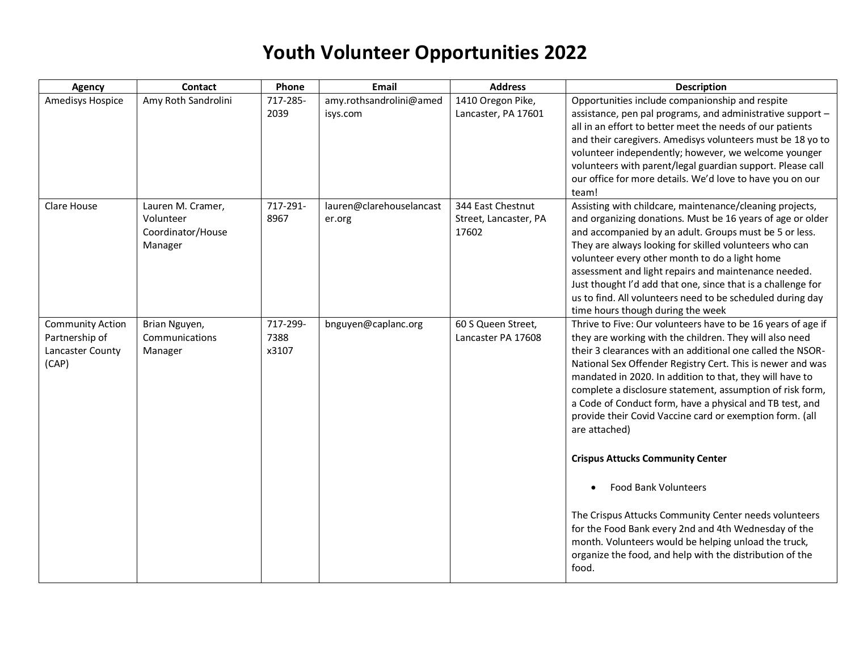| <b>Agency</b>                                                          | <b>Contact</b>                                                 | Phone                     | Email                               | <b>Address</b>                                      | <b>Description</b>                                                                                                                                                                                                                                                                                                                                                                                                                                                                                                                                               |
|------------------------------------------------------------------------|----------------------------------------------------------------|---------------------------|-------------------------------------|-----------------------------------------------------|------------------------------------------------------------------------------------------------------------------------------------------------------------------------------------------------------------------------------------------------------------------------------------------------------------------------------------------------------------------------------------------------------------------------------------------------------------------------------------------------------------------------------------------------------------------|
| <b>Amedisys Hospice</b>                                                | Amy Roth Sandrolini                                            | 717-285-<br>2039          | amy.rothsandrolini@amed<br>isys.com | 1410 Oregon Pike,<br>Lancaster, PA 17601            | Opportunities include companionship and respite<br>assistance, pen pal programs, and administrative support -<br>all in an effort to better meet the needs of our patients<br>and their caregivers. Amedisys volunteers must be 18 yo to<br>volunteer independently; however, we welcome younger<br>volunteers with parent/legal guardian support. Please call<br>our office for more details. We'd love to have you on our<br>team!                                                                                                                             |
| Clare House                                                            | Lauren M. Cramer,<br>Volunteer<br>Coordinator/House<br>Manager | 717-291-<br>8967          | lauren@clarehouselancast<br>er.org  | 344 East Chestnut<br>Street, Lancaster, PA<br>17602 | Assisting with childcare, maintenance/cleaning projects,<br>and organizing donations. Must be 16 years of age or older<br>and accompanied by an adult. Groups must be 5 or less.<br>They are always looking for skilled volunteers who can<br>volunteer every other month to do a light home<br>assessment and light repairs and maintenance needed.<br>Just thought I'd add that one, since that is a challenge for<br>us to find. All volunteers need to be scheduled during day<br>time hours though during the week                                          |
| <b>Community Action</b><br>Partnership of<br>Lancaster County<br>(CAP) | Brian Nguyen,<br>Communications<br>Manager                     | 717-299-<br>7388<br>x3107 | bnguyen@caplanc.org                 | 60 S Queen Street,<br>Lancaster PA 17608            | Thrive to Five: Our volunteers have to be 16 years of age if<br>they are working with the children. They will also need<br>their 3 clearances with an additional one called the NSOR-<br>National Sex Offender Registry Cert. This is newer and was<br>mandated in 2020. In addition to that, they will have to<br>complete a disclosure statement, assumption of risk form,<br>a Code of Conduct form, have a physical and TB test, and<br>provide their Covid Vaccine card or exemption form. (all<br>are attached)<br><b>Crispus Attucks Community Center</b> |
|                                                                        |                                                                |                           |                                     |                                                     | <b>Food Bank Volunteers</b><br>The Crispus Attucks Community Center needs volunteers<br>for the Food Bank every 2nd and 4th Wednesday of the<br>month. Volunteers would be helping unload the truck,<br>organize the food, and help with the distribution of the<br>food.                                                                                                                                                                                                                                                                                        |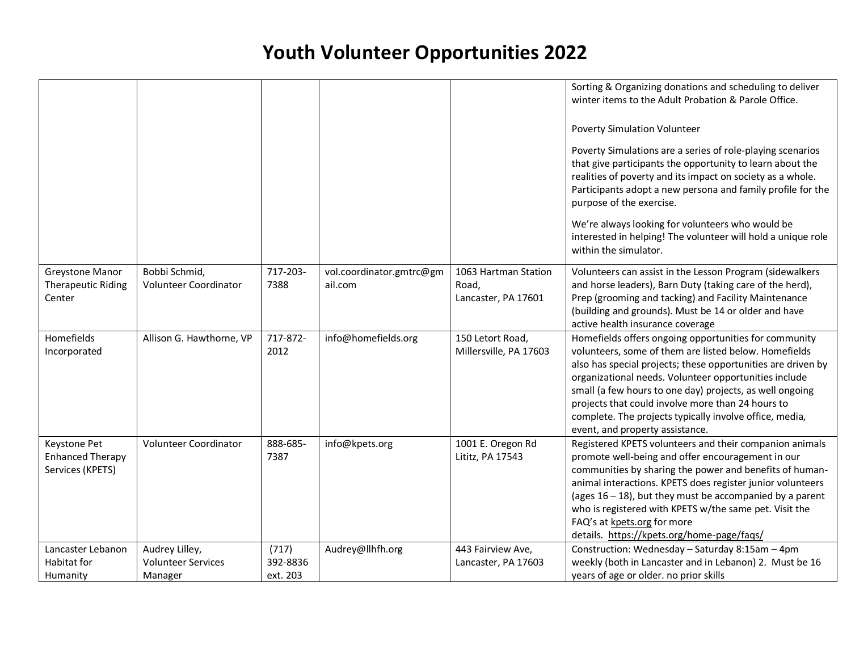|                                                             |                                                        |                               |                                     |                                                      | Sorting & Organizing donations and scheduling to deliver<br>winter items to the Adult Probation & Parole Office.<br><b>Poverty Simulation Volunteer</b><br>Poverty Simulations are a series of role-playing scenarios<br>that give participants the opportunity to learn about the<br>realities of poverty and its impact on society as a whole.<br>Participants adopt a new persona and family profile for the<br>purpose of the exercise.<br>We're always looking for volunteers who would be<br>interested in helping! The volunteer will hold a unique role<br>within the simulator. |
|-------------------------------------------------------------|--------------------------------------------------------|-------------------------------|-------------------------------------|------------------------------------------------------|------------------------------------------------------------------------------------------------------------------------------------------------------------------------------------------------------------------------------------------------------------------------------------------------------------------------------------------------------------------------------------------------------------------------------------------------------------------------------------------------------------------------------------------------------------------------------------------|
| Greystone Manor<br><b>Therapeutic Riding</b><br>Center      | Bobbi Schmid,<br>Volunteer Coordinator                 | 717-203-<br>7388              | vol.coordinator.gmtrc@gm<br>ail.com | 1063 Hartman Station<br>Road,<br>Lancaster, PA 17601 | Volunteers can assist in the Lesson Program (sidewalkers<br>and horse leaders), Barn Duty (taking care of the herd),<br>Prep (grooming and tacking) and Facility Maintenance<br>(building and grounds). Must be 14 or older and have<br>active health insurance coverage                                                                                                                                                                                                                                                                                                                 |
| Homefields<br>Incorporated                                  | Allison G. Hawthorne, VP                               | 717-872-<br>2012              | info@homefields.org                 | 150 Letort Road,<br>Millersville, PA 17603           | Homefields offers ongoing opportunities for community<br>volunteers, some of them are listed below. Homefields<br>also has special projects; these opportunities are driven by<br>organizational needs. Volunteer opportunities include<br>small (a few hours to one day) projects, as well ongoing<br>projects that could involve more than 24 hours to<br>complete. The projects typically involve office, media,<br>event, and property assistance.                                                                                                                                   |
| Keystone Pet<br><b>Enhanced Therapy</b><br>Services (KPETS) | Volunteer Coordinator                                  | 888-685-<br>7387              | info@kpets.org                      | 1001 E. Oregon Rd<br>Lititz, PA 17543                | Registered KPETS volunteers and their companion animals<br>promote well-being and offer encouragement in our<br>communities by sharing the power and benefits of human-<br>animal interactions. KPETS does register junior volunteers<br>(ages $16 - 18$ ), but they must be accompanied by a parent<br>who is registered with KPETS w/the same pet. Visit the<br>FAQ's at kpets.org for more<br>details. https://kpets.org/home-page/faqs/                                                                                                                                              |
| Lancaster Lebanon<br>Habitat for<br>Humanity                | Audrey Lilley,<br><b>Volunteer Services</b><br>Manager | (717)<br>392-8836<br>ext. 203 | Audrey@llhfh.org                    | 443 Fairview Ave,<br>Lancaster, PA 17603             | Construction: Wednesday - Saturday 8:15am - 4pm<br>weekly (both in Lancaster and in Lebanon) 2. Must be 16<br>years of age or older. no prior skills                                                                                                                                                                                                                                                                                                                                                                                                                                     |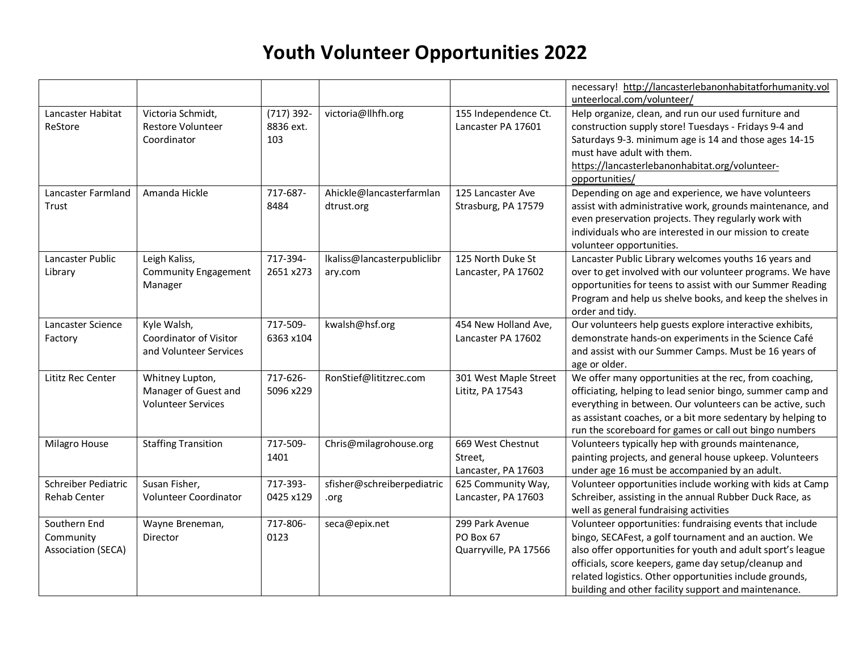|                                                        |                                                              |                                  |                             |                                                       | necessary! http://lancasterlebanonhabitatforhumanity.vol<br>unteerlocal.com/volunteer/                                                                                                                                                                                                                                                                      |
|--------------------------------------------------------|--------------------------------------------------------------|----------------------------------|-----------------------------|-------------------------------------------------------|-------------------------------------------------------------------------------------------------------------------------------------------------------------------------------------------------------------------------------------------------------------------------------------------------------------------------------------------------------------|
| Lancaster Habitat<br>ReStore                           | Victoria Schmidt,<br><b>Restore Volunteer</b><br>Coordinator | $(717)$ 392-<br>8836 ext.<br>103 | victoria@llhfh.org          | 155 Independence Ct.<br>Lancaster PA 17601            | Help organize, clean, and run our used furniture and<br>construction supply store! Tuesdays - Fridays 9-4 and<br>Saturdays 9-3. minimum age is 14 and those ages 14-15                                                                                                                                                                                      |
|                                                        |                                                              |                                  |                             |                                                       | must have adult with them.<br>https://lancasterlebanonhabitat.org/volunteer-<br>opportunities/                                                                                                                                                                                                                                                              |
| Lancaster Farmland                                     | Amanda Hickle                                                | 717-687-                         | Ahickle@lancasterfarmlan    | 125 Lancaster Ave                                     | Depending on age and experience, we have volunteers                                                                                                                                                                                                                                                                                                         |
| Trust                                                  |                                                              | 8484                             | dtrust.org                  | Strasburg, PA 17579                                   | assist with administrative work, grounds maintenance, and<br>even preservation projects. They regularly work with<br>individuals who are interested in our mission to create<br>volunteer opportunities.                                                                                                                                                    |
| Lancaster Public                                       | Leigh Kaliss,                                                | 717-394-                         | Ikaliss@lancasterpubliclibr | 125 North Duke St                                     | Lancaster Public Library welcomes youths 16 years and                                                                                                                                                                                                                                                                                                       |
| Library                                                | <b>Community Engagement</b><br>Manager                       | 2651 x273                        | ary.com                     | Lancaster, PA 17602                                   | over to get involved with our volunteer programs. We have<br>opportunities for teens to assist with our Summer Reading<br>Program and help us shelve books, and keep the shelves in<br>order and tidy.                                                                                                                                                      |
| Lancaster Science                                      | Kyle Walsh,                                                  | 717-509-                         | kwalsh@hsf.org              | 454 New Holland Ave,                                  | Our volunteers help guests explore interactive exhibits,                                                                                                                                                                                                                                                                                                    |
| Factory                                                | Coordinator of Visitor<br>and Volunteer Services             | 6363 x104                        |                             | Lancaster PA 17602                                    | demonstrate hands-on experiments in the Science Café<br>and assist with our Summer Camps. Must be 16 years of                                                                                                                                                                                                                                               |
| Lititz Rec Center                                      | Whitney Lupton,                                              | 717-626-                         | RonStief@lititzrec.com      | 301 West Maple Street                                 | age or older.<br>We offer many opportunities at the rec, from coaching,                                                                                                                                                                                                                                                                                     |
|                                                        | Manager of Guest and<br><b>Volunteer Services</b>            | 5096 x229                        |                             | Lititz, PA 17543                                      | officiating, helping to lead senior bingo, summer camp and<br>everything in between. Our volunteers can be active, such<br>as assistant coaches, or a bit more sedentary by helping to<br>run the scoreboard for games or call out bingo numbers                                                                                                            |
| Milagro House                                          | <b>Staffing Transition</b>                                   | 717-509-<br>1401                 | Chris@milagrohouse.org      | 669 West Chestnut<br>Street,<br>Lancaster, PA 17603   | Volunteers typically hep with grounds maintenance,<br>painting projects, and general house upkeep. Volunteers<br>under age 16 must be accompanied by an adult.                                                                                                                                                                                              |
| Schreiber Pediatric                                    | Susan Fisher,                                                | 717-393-                         | sfisher@schreiberpediatric  | 625 Community Way,                                    | Volunteer opportunities include working with kids at Camp                                                                                                                                                                                                                                                                                                   |
| <b>Rehab Center</b>                                    | Volunteer Coordinator                                        | 0425 x129                        | .org                        | Lancaster, PA 17603                                   | Schreiber, assisting in the annual Rubber Duck Race, as<br>well as general fundraising activities                                                                                                                                                                                                                                                           |
| Southern End<br>Community<br><b>Association (SECA)</b> | Wayne Breneman,<br>Director                                  | 717-806-<br>0123                 | seca@epix.net               | 299 Park Avenue<br>PO Box 67<br>Quarryville, PA 17566 | Volunteer opportunities: fundraising events that include<br>bingo, SECAFest, a golf tournament and an auction. We<br>also offer opportunities for youth and adult sport's league<br>officials, score keepers, game day setup/cleanup and<br>related logistics. Other opportunities include grounds,<br>building and other facility support and maintenance. |